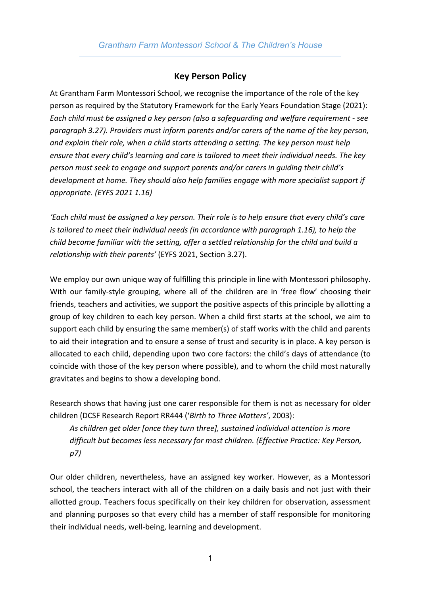*Grantham Farm Montessori School & The Children's House*

## **Key Person Policy**

At Grantham Farm Montessori School, we recognise the importance of the role of the key person as required by the Statutory Framework for the Early Years Foundation Stage (2021): *Each child must be assigned a key person (also a safeguarding and welfare requirement - see paragraph 3.27). Providers must inform parents and/or carers of the name of the key person, and explain their role, when a child starts attending a setting. The key person must help ensure that every child's learning and care is tailored to meet their individual needs. The key person must seek to engage and support parents and/or carers in guiding their child's development at home. They should also help families engage with more specialist support if appropriate. (EYFS 2021 1.16)*

*'Each child must be assigned a key person. Their role is to help ensure that every child's care is tailored to meet their individual needs (in accordance with paragraph 1.16), to help the child become familiar with the setting, offer a settled relationship for the child and build a relationship with their parents'* (EYFS 2021, Section 3.27).

We employ our own unique way of fulfilling this principle in line with Montessori philosophy. With our family-style grouping, where all of the children are in 'free flow' choosing their friends, teachers and activities, we support the positive aspects of this principle by allotting a group of key children to each key person. When a child first starts at the school, we aim to support each child by ensuring the same member(s) of staff works with the child and parents to aid their integration and to ensure a sense of trust and security is in place. A key person is allocated to each child, depending upon two core factors: the child's days of attendance (to coincide with those of the key person where possible), and to whom the child most naturally gravitates and begins to show a developing bond.

Research shows that having just one carer responsible for them is not as necessary for older children (DCSF Research Report RR444 ('*Birth to Three Matters'*, 2003):

*As children get older [once they turn three], sustained individual attention is more difficult but becomes less necessary for most children. (Effective Practice: Key Person, p7)*

Our older children, nevertheless, have an assigned key worker. However, as a Montessori school, the teachers interact with all of the children on a daily basis and not just with their allotted group. Teachers focus specifically on their key children for observation, assessment and planning purposes so that every child has a member of staff responsible for monitoring their individual needs, well-being, learning and development.